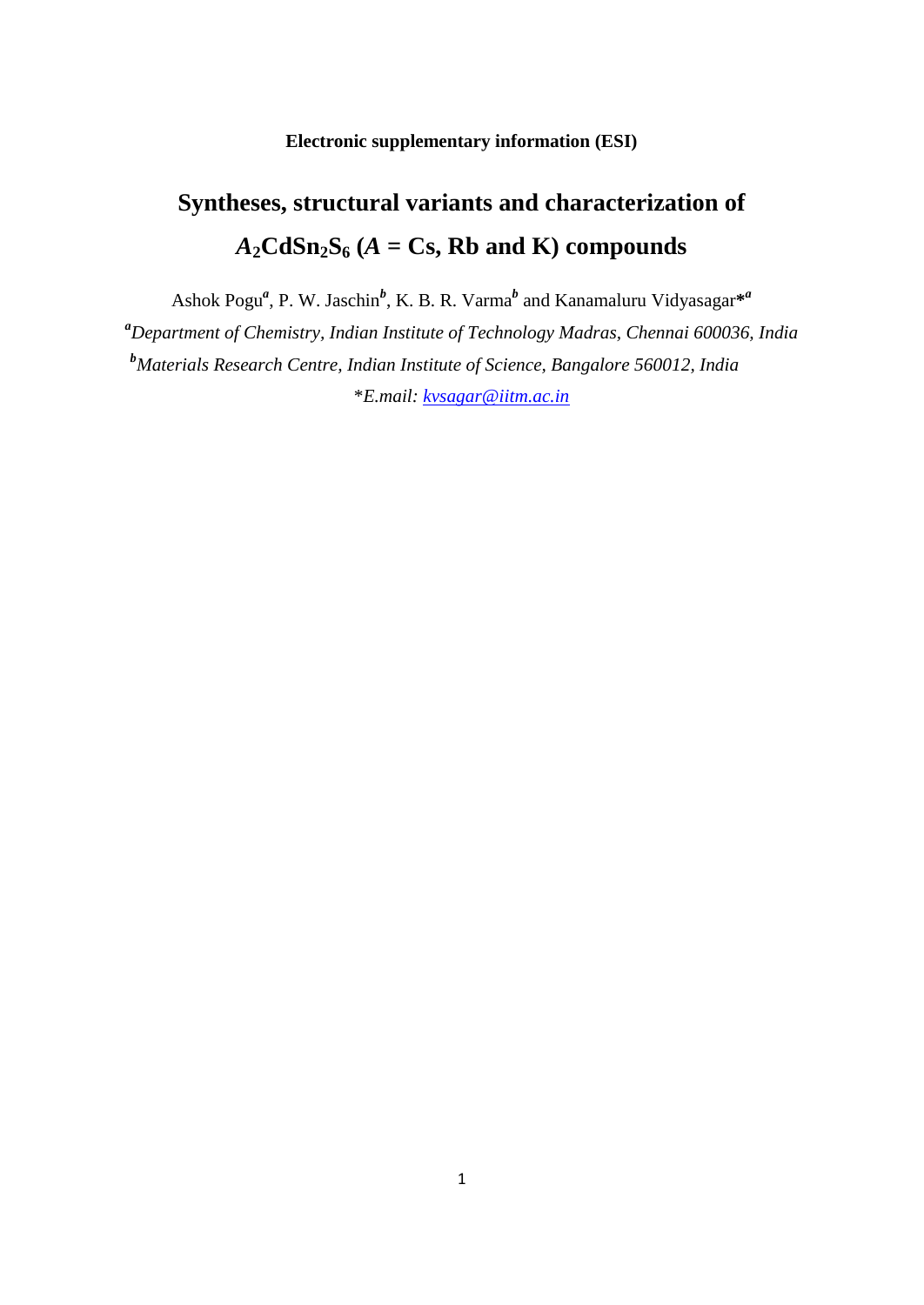### **Electronic supplementary information (ESI)**

# **Syntheses, structural variants and characterization of**   $A_2$ **CdSn**<sub>2</sub>**S**<sub>6</sub> ( $A =$ **Cs**, **Rb** and **K**) compounds

Ashok Pogu<sup>a</sup>, P. W. Jaschin<sup>b</sup>, K. B. R. Varma<sup>b</sup> and Kanamaluru Vidyasagar<sup>\*a</sup> *<sup>a</sup>Department of Chemistry, Indian Institute of Technology Madras, Chennai 600036, India <sup>b</sup>Materials Research Centre, Indian Institute of Science, Bangalore 560012, India* \**E.mail: [kvsagar@iitm.ac.in](mailto:kvsagar@iitm.ac.in)*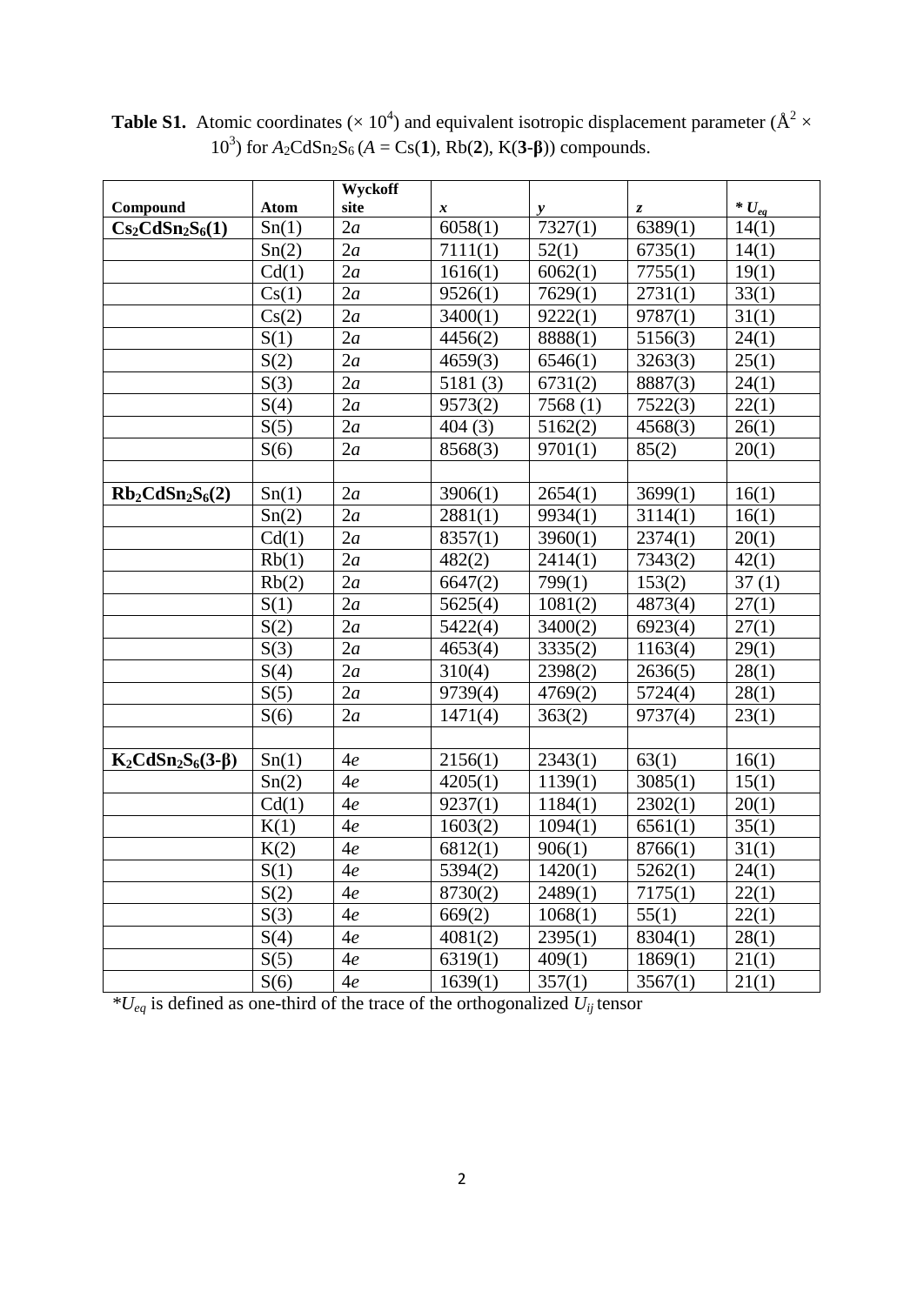|                         |             | Wyckoff |         |         |                  |            |
|-------------------------|-------------|---------|---------|---------|------------------|------------|
| Compound                | <b>Atom</b> | site    | x       | y       | $\boldsymbol{z}$ | * $U_{eq}$ |
| $Cs_2CdSn_2S_6(1)$      | Sn(1)       | 2a      | 6058(1) | 7327(1) | 6389(1)          | 14(1)      |
|                         | Sn(2)       | 2a      | 7111(1) | 52(1)   | 6735(1)          | 14(1)      |
|                         | Cd(1)       | 2a      | 1616(1) | 6062(1) | 7755(1)          | 19(1)      |
|                         | Cs(1)       | 2a      | 9526(1) | 7629(1) | 2731(1)          | 33(1)      |
|                         | Cs(2)       | 2a      | 3400(1) | 9222(1) | 9787(1)          | 31(1)      |
|                         | S(1)        | 2a      | 4456(2) | 8888(1) | 5156(3)          | 24(1)      |
|                         | S(2)        | 2a      | 4659(3) | 6546(1) | 3263(3)          | 25(1)      |
|                         | S(3)        | 2a      | 5181(3) | 6731(2) | 8887(3)          | 24(1)      |
|                         | S(4)        | 2a      | 9573(2) | 7568(1) | 7522(3)          | 22(1)      |
|                         | S(5)        | 2a      | 404(3)  | 5162(2) | 4568(3)          | 26(1)      |
|                         | S(6)        | 2a      | 8568(3) | 9701(1) | 85(2)            | 20(1)      |
|                         |             |         |         |         |                  |            |
| $Rb_2CdSn_2S_6(2)$      | Sn(1)       | 2a      | 3906(1) | 2654(1) | 3699(1)          | 16(1)      |
|                         | Sn(2)       | 2a      | 2881(1) | 9934(1) | 3114(1)          | 16(1)      |
|                         | Cd(1)       | 2a      | 8357(1) | 3960(1) | 2374(1)          | 20(1)      |
|                         | Rb(1)       | 2a      | 482(2)  | 2414(1) | 7343(2)          | 42(1)      |
|                         | Rb(2)       | 2a      | 6647(2) | 799(1)  | 153(2)           | 37(1)      |
|                         | S(1)        | 2a      | 5625(4) | 1081(2) | 4873(4)          | 27(1)      |
|                         | S(2)        | 2a      | 5422(4) | 3400(2) | 6923(4)          | 27(1)      |
|                         | S(3)        | 2a      | 4653(4) | 3335(2) | 1163(4)          | 29(1)      |
|                         | S(4)        | 2a      | 310(4)  | 2398(2) | 2636(5)          | 28(1)      |
|                         | S(5)        | 2a      | 9739(4) | 4769(2) | 5724(4)          | 28(1)      |
|                         | S(6)        | 2a      | 1471(4) | 363(2)  | 9737(4)          | 23(1)      |
|                         |             |         |         |         |                  |            |
| $K_2CdSn_2S_6(3-\beta)$ | Sn(1)       | 4e      | 2156(1) | 2343(1) | 63(1)            | 16(1)      |
|                         | Sn(2)       | 4e      | 4205(1) | 1139(1) | 3085(1)          | 15(1)      |
|                         | Cd(1)       | 4e      | 9237(1) | 1184(1) | 2302(1)          | 20(1)      |
|                         | K(1)        | 4e      | 1603(2) | 1094(1) | 6561(1)          | 35(1)      |
|                         | K(2)        | 4e      | 6812(1) | 906(1)  | 8766(1)          | 31(1)      |
|                         | S(1)        | 4e      | 5394(2) | 1420(1) | 5262(1)          | 24(1)      |
|                         | S(2)        | 4e      | 8730(2) | 2489(1) | 7175(1)          | 22(1)      |
|                         | S(3)        | 4e      | 669(2)  | 1068(1) | 55(1)            | 22(1)      |
|                         | S(4)        | 4e      | 4081(2) | 2395(1) | 8304(1)          | 28(1)      |
|                         | S(5)        | 4e      | 6319(1) | 409(1)  | 1869(1)          | 21(1)      |
|                         | S(6)        | 4e      | 1639(1) | 357(1)  | 3567(1)          | 21(1)      |

**Table S1.** Atomic coordinates ( $\times$  10<sup>4</sup>) and equivalent isotropic displacement parameter ( $\AA^2$   $\times$ 10<sup>3</sup>) for  $A_2CdSn_2S_6$  (*A* = Cs(1), Rb(2), K(3-β)) compounds.

*\*Ueq* is defined as one-third of the trace of the orthogonalized *Uij* tensor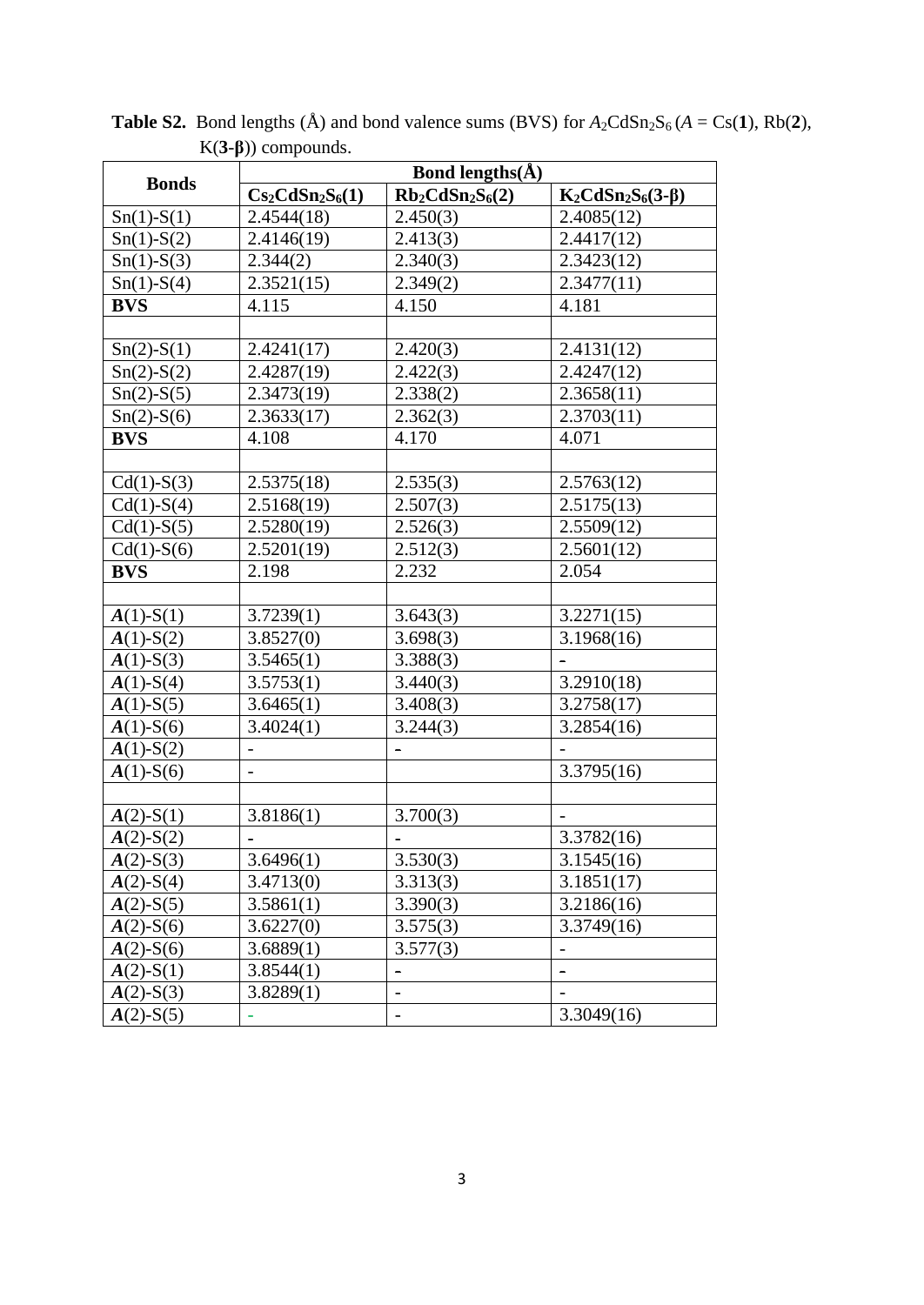|                | Bond lengths( $\AA$ ) |                          |                         |  |  |  |  |  |  |  |  |  |
|----------------|-----------------------|--------------------------|-------------------------|--|--|--|--|--|--|--|--|--|
| <b>Bonds</b>   | $Cs_2CdSn_2S_6(1)$    | $Rb_2CdSn_2S_6(2)$       | $K_2CdSn_2S_6(3-\beta)$ |  |  |  |  |  |  |  |  |  |
| $Sn(1)-S(1)$   | 2.4544(18)            | 2.450(3)                 | 2.4085(12)              |  |  |  |  |  |  |  |  |  |
| $Sn(1)-S(2)$   | 2.4146(19)            | 2.413(3)                 | 2.4417(12)              |  |  |  |  |  |  |  |  |  |
| $Sn(1)-S(3)$   | 2.344(2)              | 2.340(3)                 | 2.3423(12)              |  |  |  |  |  |  |  |  |  |
| $Sn(1)-S(4)$   | 2.3521(15)            | 2.349(2)                 | 2.3477(11)              |  |  |  |  |  |  |  |  |  |
| <b>BVS</b>     | 4.115                 | 4.150                    | 4.181                   |  |  |  |  |  |  |  |  |  |
|                |                       |                          |                         |  |  |  |  |  |  |  |  |  |
| $Sn(2)-S(1)$   | 2.4241(17)            | 2.420(3)                 | 2.4131(12)              |  |  |  |  |  |  |  |  |  |
| $Sn(2) - S(2)$ | 2.4287(19)            | 2.422(3)                 | 2.4247(12)              |  |  |  |  |  |  |  |  |  |
| $Sn(2)-S(5)$   | 2.3473(19)            | 2.338(2)                 | 2.3658(11)              |  |  |  |  |  |  |  |  |  |
| $Sn(2)-S(6)$   | 2.3633(17)            | 2.362(3)                 | 2.3703(11)              |  |  |  |  |  |  |  |  |  |
| <b>BVS</b>     | 4.108                 | 4.170                    | 4.071                   |  |  |  |  |  |  |  |  |  |
|                |                       |                          |                         |  |  |  |  |  |  |  |  |  |
| $Cd(1)-S(3)$   | 2.5375(18)            | 2.535(3)                 | 2.5763(12)              |  |  |  |  |  |  |  |  |  |
| $Cd(1)-S(4)$   | 2.5168(19)            | 2.507(3)                 | 2.5175(13)              |  |  |  |  |  |  |  |  |  |
| $Cd(1)-S(5)$   | 2.5280(19)            | 2.526(3)                 | 2.5509(12)              |  |  |  |  |  |  |  |  |  |
| $Cd(1)-S(6)$   | 2.5201(19)            | 2.512(3)                 | 2.5601(12)              |  |  |  |  |  |  |  |  |  |
| <b>BVS</b>     | 2.198                 | 2.232                    | 2.054                   |  |  |  |  |  |  |  |  |  |
|                |                       |                          |                         |  |  |  |  |  |  |  |  |  |
| $A(1)$ -S(1)   | 3.7239(1)             | 3.643(3)                 | 3.2271(15)              |  |  |  |  |  |  |  |  |  |
| $A(1)-S(2)$    | 3.8527(0)             | 3.698(3)                 | 3.1968(16)              |  |  |  |  |  |  |  |  |  |
| $A(1)$ -S(3)   | 3.5465(1)             | 3.388(3)                 |                         |  |  |  |  |  |  |  |  |  |
| $A(1)$ -S(4)   | 3.5753(1)             | 3.440(3)                 | 3.2910(18)              |  |  |  |  |  |  |  |  |  |
| $A(1)$ -S(5)   | 3.6465(1)             | 3.408(3)                 | 3.2758(17)              |  |  |  |  |  |  |  |  |  |
| $A(1)$ -S(6)   | 3.4024(1)             | 3.244(3)                 | 3.2854(16)              |  |  |  |  |  |  |  |  |  |
| $A(1)$ -S(2)   |                       |                          |                         |  |  |  |  |  |  |  |  |  |
| $A(1)$ -S(6)   | $\overline{a}$        |                          | 3.3795(16)              |  |  |  |  |  |  |  |  |  |
|                |                       |                          |                         |  |  |  |  |  |  |  |  |  |
| $A(2)$ -S(1)   | 3.8186(1)             | 3.700(3)                 |                         |  |  |  |  |  |  |  |  |  |
| $A(2)$ -S(2)   | $\blacksquare$        | ۰                        | 3.3782(16)              |  |  |  |  |  |  |  |  |  |
| $A(2)$ -S(3)   | 3.6496(1)             | 3.530(3)                 | 3.1545(16)              |  |  |  |  |  |  |  |  |  |
| $A(2)$ -S(4)   | 3.4713(0)             | 3.313(3)                 | 3.1851(17)              |  |  |  |  |  |  |  |  |  |
| $A(2)$ -S(5)   | 3.5861(1)             | 3.390(3)                 | 3.2186(16)              |  |  |  |  |  |  |  |  |  |
| $A(2)$ -S(6)   | 3.6227(0)             | 3.575(3)                 | 3.3749(16)              |  |  |  |  |  |  |  |  |  |
| $A(2)$ -S(6)   | 3.6889(1)             | 3.577(3)                 |                         |  |  |  |  |  |  |  |  |  |
| $A(2)$ -S(1)   | 3.8544(1)             | -                        |                         |  |  |  |  |  |  |  |  |  |
| $A(2)$ -S(3)   | 3.8289(1)             | $\overline{a}$           |                         |  |  |  |  |  |  |  |  |  |
| $A(2)$ -S(5)   |                       | $\overline{\phantom{0}}$ | 3.3049(16)              |  |  |  |  |  |  |  |  |  |

**Table S2.** Bond lengths (Å) and bond valence sums (BVS) for  $A_2CdSn_2S_6$  ( $A = Cs(1)$ , Rb(2), K(**3**-**β**)) compounds.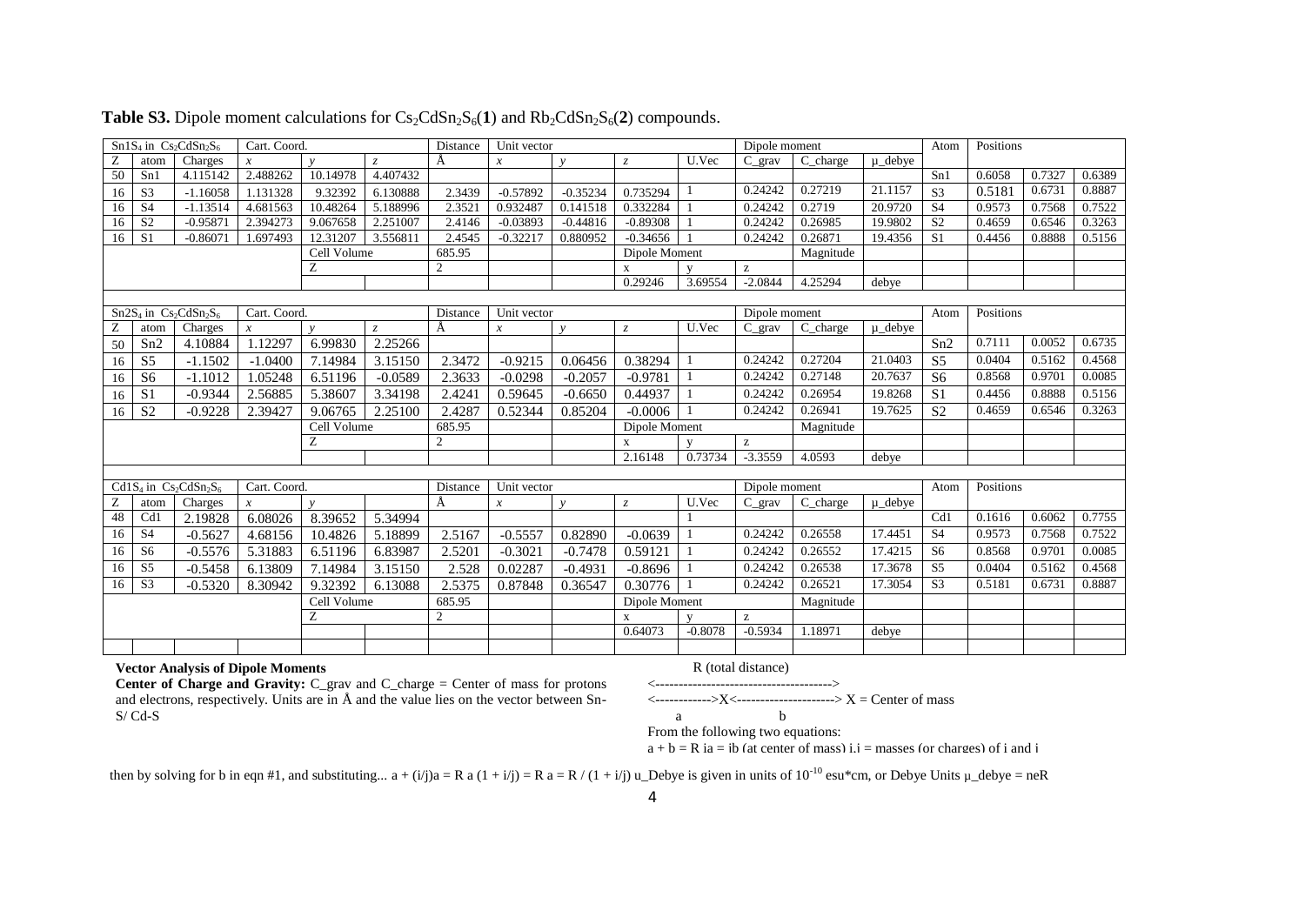| $Sn1S4$ in $Cs2CdSn2S6$<br>Cart. Coord. |                 |                                                                       |                  | Distance     | Unit vector |                |               | Dipole moment |                |               | Atom                                                  | Positions |           |                |           |        |        |
|-----------------------------------------|-----------------|-----------------------------------------------------------------------|------------------|--------------|-------------|----------------|---------------|---------------|----------------|---------------|-------------------------------------------------------|-----------|-----------|----------------|-----------|--------|--------|
| Ζ                                       | atom            | Charges                                                               |                  | $\mathbf{v}$ |             |                | $\mathcal{X}$ | $\mathbf{v}$  | Z              | U.Vec         | $C$ grav                                              | C charge  | u debve   |                |           |        |        |
| 50                                      | Sn1             | 4.115142                                                              | 2.488262         | 10.14978     | 4.407432    |                |               |               |                |               |                                                       |           |           | Sn1            | 0.6058    | 0.7327 | 0.6389 |
| 16                                      | S <sub>3</sub>  | $-1.16058$                                                            | 1.131328         | 9.32392      | 6.130888    | 2.3439         | $-0.57892$    | $-0.35234$    | 0.735294       |               | 0.24242                                               | 0.27219   | 21.1157   | S <sub>3</sub> | 0.5181    | 0.6731 | 0.8887 |
| 16                                      | <b>S4</b>       | $-1.13514$                                                            | 4.681563         | 10.48264     | 5.188996    | 2.3521         | 0.932487      | 0.141518      | 0.332284       |               | 0.24242                                               | 0.2719    | 20.9720   | S <sub>4</sub> | 0.9573    | 0.7568 | 0.7522 |
| 16                                      | S <sub>2</sub>  | $-0.95871$                                                            | 2.394273         | 9.067658     | 2.251007    | 2.4146         | $-0.03893$    | $-0.44816$    | $-0.89308$     |               | 0.24242                                               | 0.26985   | 19.9802   | S <sub>2</sub> | 0.4659    | 0.6546 | 0.3263 |
| 16                                      | S <sub>1</sub>  | $-0.86071$                                                            | 1.697493         | 12.31207     | 3.556811    | 2.4545         | $-0.32217$    | 0.880952      | $-0.34656$     |               | 0.24242                                               | 0.26871   | 19.4356   | S <sub>1</sub> | 0.4456    | 0.8888 | 0.5156 |
|                                         |                 |                                                                       | Cell Volume      |              | 685.95      |                |               | Dipole Moment |                |               | Magnitude                                             |           |           |                |           |        |        |
|                                         |                 |                                                                       |                  | Z            |             | 2              |               |               | $\mathbf X$    | $\mathbf{v}$  | $\rm{z}$                                              |           |           |                |           |        |        |
|                                         |                 |                                                                       |                  |              |             |                |               |               | 0.29246        | 3.69554       | $-2.0844$                                             | 4.25294   | debye     |                |           |        |        |
|                                         |                 |                                                                       |                  |              |             |                |               |               |                |               |                                                       |           |           |                |           |        |        |
|                                         |                 | $Sn2S4$ in $Cs2CdSn2S6$                                               | Cart. Coord.     |              |             | Distance       | Unit vector   |               |                |               | Dipole moment                                         |           |           | Atom           | Positions |        |        |
| Z                                       | atom            | Charges                                                               | $\mathcal{X}$    | $\mathbf{v}$ | $Z_{\cdot}$ | A              | $\mathcal{X}$ | $\mathbf{v}$  | $\overline{z}$ | U.Vec         | $C_{grav}$                                            | C charge  | u debve   |                |           |        |        |
| 50                                      | Sn2             | 4.10884                                                               | 1.12297          | 6.99830      | 2.25266     |                |               |               |                |               |                                                       |           |           | Sn2            | 0.7111    | 0.0052 | 0.6735 |
| 16                                      | S <sub>5</sub>  | $-1.1502$                                                             | $-1.0400$        | 7.14984      | 3.15150     | 2.3472         | $-0.9215$     | 0.06456       | 0.38294        |               | 0.24242                                               | 0.27204   | 21.0403   | S <sub>5</sub> | 0.0404    | 0.5162 | 0.4568 |
| 16                                      | S <sub>6</sub>  | $-1.1012$                                                             | 1.05248          | 6.51196      | $-0.0589$   | 2.3633         | $-0.0298$     | $-0.2057$     | $-0.9781$      |               | 0.24242                                               | 0.27148   | 20.7637   | S <sub>6</sub> | 0.8568    | 0.9701 | 0.0085 |
| 16                                      | S <sub>1</sub>  | $-0.9344$                                                             | 2.56885          | 5.38607      | 3.34198     | 2.4241         | 0.59645       | $-0.6650$     | 0.44937        |               | 0.24242                                               | 0.26954   | 19.8268   | S <sub>1</sub> | 0.4456    | 0.8888 | 0.5156 |
| 16                                      | $\overline{S2}$ | $-0.9228$                                                             | 2.39427          | 9.06765      | 2.25100     | 2.4287         | 0.52344       | 0.85204       | $-0.0006$      |               | 0.24242                                               | 0.26941   | 19.7625   | S <sub>2</sub> | 0.4659    | 0.6546 | 0.3263 |
|                                         |                 |                                                                       | Cell Volume      |              | 685.95      |                |               | Dipole Moment |                |               | Magnitude                                             |           |           |                |           |        |        |
|                                         |                 |                                                                       |                  | Ζ            |             | $\overline{2}$ |               |               | X              | $\mathbf{V}$  | $\mathbf{Z}% ^{T}=\mathbf{Z}^{T}\times\mathbf{Z}^{T}$ |           |           |                |           |        |        |
|                                         |                 |                                                                       |                  |              |             |                |               |               | 2.16148        | 0.73734       | $-3.3559$                                             | 4.0593    | debye     |                |           |        |        |
|                                         |                 |                                                                       |                  |              |             |                |               |               |                |               |                                                       |           |           |                |           |        |        |
|                                         |                 | Cd1S <sub>4</sub> in Cs <sub>2</sub> CdSn <sub>2</sub> S <sub>6</sub> | Cart. Coord.     |              |             | Distance       | Unit vector   |               |                | Dipole moment |                                                       | Atom      | Positions |                |           |        |        |
| Ζ                                       | atom            | Charges                                                               | $\boldsymbol{x}$ | $\mathbf{v}$ |             | A              | $\mathcal{X}$ | $\mathbf{v}$  | $\mathcal{Z}$  | U.Vec         | $C$ grav                                              | C_charge  | u debye   |                |           |        |        |
| 48                                      | Cd1             | 2.19828                                                               | 6.08026          | 8.39652      | 5.34994     |                |               |               |                |               |                                                       |           |           | Cd1            | 0.1616    | 0.6062 | 0.7755 |
| 16                                      | <b>S4</b>       | $-0.5627$                                                             | 4.68156          | 10.4826      | 5.18899     | 2.5167         | $-0.5557$     | 0.82890       | $-0.0639$      |               | 0.24242                                               | 0.26558   | 17.4451   | S <sub>4</sub> | 0.9573    | 0.7568 | 0.7522 |
| 16                                      | S <sub>6</sub>  | $-0.5576$                                                             | 5.31883          | 6.51196      | 6.83987     | 2.5201         | $-0.3021$     | $-0.7478$     | 0.59121        |               | 0.24242                                               | 0.26552   | 17.4215   | S <sub>6</sub> | 0.8568    | 0.9701 | 0.0085 |
| 16                                      | S <sub>5</sub>  | $-0.5458$                                                             | 6.13809          | 7.14984      | 3.15150     | 2.528          | 0.02287       | $-0.4931$     | $-0.8696$      |               | 0.24242                                               | 0.26538   | 17.3678   | S <sub>5</sub> | 0.0404    | 0.5162 | 0.4568 |
| 16                                      | S <sub>3</sub>  | $-0.5320$                                                             | 8.30942          | 9.32392      | 6.13088     | 2.5375         | 0.87848       | 0.36547       | 0.30776        |               | 0.24242                                               | 0.26521   | 17.3054   | S <sub>3</sub> | 0.5181    | 0.6731 | 0.8887 |
|                                         |                 |                                                                       |                  | Cell Volume  |             | 685.95         |               |               | Dipole Moment  |               |                                                       | Magnitude |           |                |           |        |        |
|                                         |                 |                                                                       |                  | Z            |             | $\overline{2}$ |               |               | $\mathbf x$    | $\mathbf{V}$  | z                                                     |           |           |                |           |        |        |
|                                         |                 |                                                                       |                  |              |             |                |               |               | 0.64073        | $-0.8078$     | $-0.5934$                                             | 1.18971   | debye     |                |           |        |        |
|                                         |                 |                                                                       |                  |              |             |                |               |               |                |               |                                                       |           |           |                |           |        |        |

**Table S3.** Dipole moment calculations for  $Cs_2CdSn_2S_6(1)$  and  $Rb_2CdSn_2S_6(2)$  compounds.

#### **Vector Analysis of Dipole Moments**

**Center of Charge and Gravity:** C\_grav and C\_charge = Center of mass for protons and electrons, respectively. Units are in Å and the value lies on the vector between Sn-S/ Cd-S

#### R (total distance)

<-------------------------------------->

 $\langle$ ------------->X $\langle$ --------------------------->X = Center of mass

$$
a \qquad \qquad \text{b}
$$

From the following two equations:

 $a + b = R$  ia = ib (at center of mass) i, i = masses (or charges) of i and i

then by solving for b in eqn #1, and substituting...  $a + (i/j)a = R a (1 + i/j) = R a = R/(1 + i/j) u$  Debye is given in units of 10<sup>-10</sup> esu\*cm, or Debye Units  $\mu$  debye = neR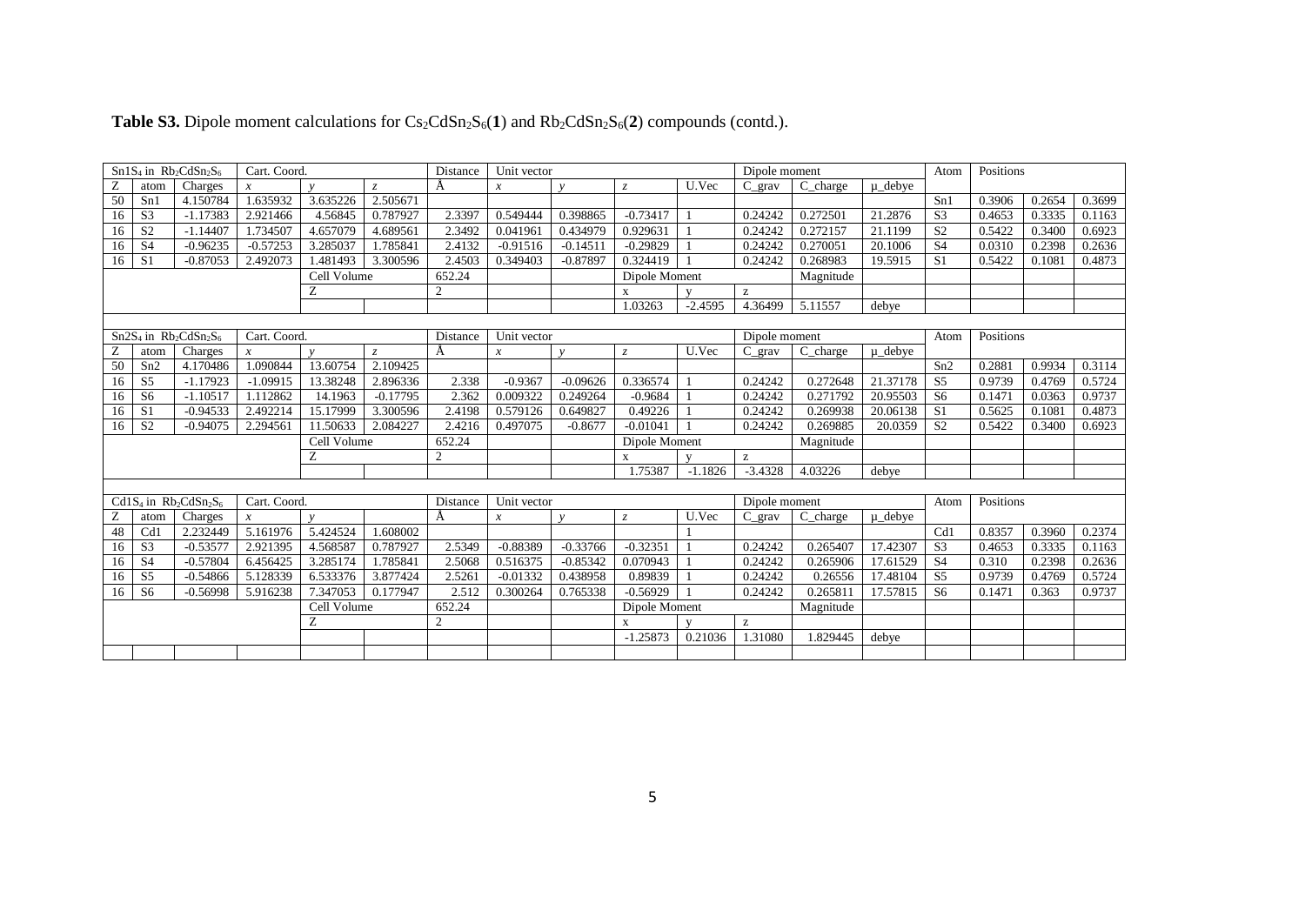|             |                | $Sn1S4$ in $Rb2CdSn2S6$                                                 | Cart. Coord.   |                | Distance<br>Unit vector |                |                  |               | Dipole moment |           |               |               |             | Atom           | Positions |        |        |  |
|-------------|----------------|-------------------------------------------------------------------------|----------------|----------------|-------------------------|----------------|------------------|---------------|---------------|-----------|---------------|---------------|-------------|----------------|-----------|--------|--------|--|
|             | atom           | Charges                                                                 | $\mathfrak{X}$ | $\mathbf{v}$   |                         | А              | $\mathcal{X}$    | $\mathbf{v}$  | $Z_{\cdot}$   | U.Vec     | $C$ grav      | C_charge      | u debve     |                |           |        |        |  |
| 50          | Sn1            | 4.150784                                                                | 1.635932       | 3.635226       | 2.505671                |                |                  |               |               |           |               |               |             | Sn1            | 0.3906    | 0.2654 | 0.3699 |  |
| 16          | S <sub>3</sub> | $-1.17383$                                                              | 2.921466       | 4.56845        | 0.787927                | 2.3397         | 0.549444         | 0.398865      | $-0.73417$    |           | 0.24242       | 0.272501      | 21.2876     | S <sub>3</sub> | 0.4653    | 0.3335 | 0.1163 |  |
| 16          | S <sub>2</sub> | $-1.14407$                                                              | 1.734507       | 4.657079       | 4.689561                | 2.3492         | 0.041961         | 0.434979      | 0.929631      |           | 0.24242       | 0.272157      | 21.1199     | S <sub>2</sub> | 0.5422    | 0.3400 | 0.6923 |  |
| 16          | <b>S4</b>      | $-0.96235$                                                              | $-0.57253$     | 3.285037       | 1.785841                | 2.4132         | $-0.91516$       | $-0.14511$    | $-0.29829$    |           | 0.24242       | 0.270051      | 20.1006     | S <sub>4</sub> | 0.0310    | 0.2398 | 0.2636 |  |
| 16          | S <sub>1</sub> | $-0.87053$                                                              | 2.492073       | 1.481493       | 3.300596                | 2.4503         | 0.349403         | $-0.87897$    | 0.324419      |           | 0.24242       | 0.268983      | 19.5915     | S <sub>1</sub> | 0.5422    | 0.1081 | 0.4873 |  |
|             |                |                                                                         | Cell Volume    |                | 652.24                  | Dipole Moment  |                  |               |               | Magnitude |               |               |             |                |           |        |        |  |
| Ζ           |                |                                                                         |                | $\overline{c}$ |                         |                | $\mathbf{x}$     |               | z             |           |               |               |             |                |           |        |        |  |
|             |                |                                                                         |                |                |                         |                |                  |               | 1.03263       | $-2.4595$ | 4.36499       | 5.11557       | debye       |                |           |        |        |  |
|             |                |                                                                         |                |                |                         |                |                  |               |               |           |               |               |             |                |           |        |        |  |
|             |                | $\overline{Sn2S}_4$ in Rb <sub>2</sub> CdSn <sub>2</sub> S <sub>6</sub> | Cart. Coord.   |                |                         | Distance       | Unit vector      |               |               |           | Dipole moment |               |             | Atom           | Positions |        |        |  |
| Ζ           | atom           | Charges                                                                 | $\mathcal{X}$  | $\mathbf{v}$   | $Z_{\cdot}$             | A              | $\boldsymbol{x}$ | $\mathbf{v}$  | $\mathcal{Z}$ | U.Vec     | $C$ grav      | C charge      | $\mu$ debye |                |           |        |        |  |
| 50          | Sn2            | 4.170486                                                                | 1.090844       | 13.60754       | 2.109425                |                |                  |               |               |           |               |               |             | Sn2            | 0.2881    | 0.9934 | 0.3114 |  |
| 16          | S <sub>5</sub> | $-1.17923$                                                              | $-1.09915$     | 13.38248       | 2.896336                | 2.338          | $-0.9367$        | $-0.09626$    | 0.336574      |           | 0.24242       | 0.272648      | 21.37178    | S <sub>5</sub> | 0.9739    | 0.4769 | 0.5724 |  |
| 16          | S <sub>6</sub> | $-1.10517$                                                              | 1.112862       | 14.1963        | $-0.17795$              | 2.362          | 0.009322         | 0.249264      | $-0.9684$     |           | 0.24242       | 0.271792      | 20.95503    | S <sub>6</sub> | 0.1471    | 0.0363 | 0.9737 |  |
| 16          | S <sub>1</sub> | $-0.94533$                                                              | 2.492214       | 15.17999       | 3.300596                | 2.4198         | 0.579126         | 0.649827      | 0.49226       |           | 0.24242       | 0.269938      | 20.06138    | S <sub>1</sub> | 0.5625    | 0.1081 | 0.4873 |  |
| 16          | S <sub>2</sub> | $-0.94075$                                                              | 2.294561       | 11.50633       | 2.084227                | 2.4216         | 0.497075         | $-0.8677$     | $-0.01041$    |           | 0.24242       | 0.269885      | 20.0359     | S <sub>2</sub> | 0.5422    | 0.3400 | 0.6923 |  |
| Cell Volume |                |                                                                         |                | 652.24         |                         |                | Dipole Moment    |               |               | Magnitude |               |               |             |                |           |        |        |  |
|             |                |                                                                         |                | Z              |                         | $\overline{c}$ |                  |               | $\mathbf{x}$  |           | z             |               |             |                |           |        |        |  |
|             |                |                                                                         |                |                |                         |                |                  |               | 1.75387       | $-1.1826$ | $-3.4328$     | 4.03226       | debve       |                |           |        |        |  |
|             |                |                                                                         |                |                |                         |                |                  |               |               |           |               |               |             |                |           |        |        |  |
|             |                | $Cd1S4$ in $Rb2CdSn2S6$                                                 | Cart. Coord.   |                |                         | Distance       | Unit vector      |               |               |           |               | Dipole moment |             | Atom           | Positions |        |        |  |
| Ζ           | atom           | Charges                                                                 | $\mathfrak{X}$ | $\mathbf{v}$   |                         | A              | $\boldsymbol{x}$ | $\mathbf{v}$  | $\mathcal{Z}$ | U.Vec     | $C_{grav}$    | C_charge      | $\mu$ debye |                |           |        |        |  |
| 48          | Cd1            | 2.232449                                                                | 5.161976       | 5.424524       | 1.608002                |                |                  |               |               |           |               |               |             | Cd1            | 0.8357    | 0.3960 | 0.2374 |  |
| 16          | S <sub>3</sub> | $-0.53577$                                                              | 2.921395       | 4.568587       | 0.787927                | 2.5349         | $-0.88389$       | $-0.33766$    | $-0.32351$    |           | 0.24242       | 0.265407      | 17.42307    | S <sub>3</sub> | 0.4653    | 0.3335 | 0.1163 |  |
| 16          | <b>S4</b>      | $-0.57804$                                                              | 6.456425       | 3.285174       | 1.785841                | 2.5068         | 0.516375         | $-0.85342$    | 0.070943      |           | 0.24242       | 0.265906      | 17.61529    | <b>S4</b>      | 0.310     | 0.2398 | 0.2636 |  |
| 16          | S <sub>5</sub> | $-0.54866$                                                              | 5.128339       | 6.533376       | 3.877424                | 2.5261         | $-0.01332$       | 0.438958      | 0.89839       |           | 0.24242       | 0.26556       | 17.48104    | S <sub>5</sub> | 0.9739    | 0.4769 | 0.5724 |  |
| 16          | S <sub>6</sub> | $-0.56998$                                                              | 5.916238       | 7.347053       | 0.177947                | 2.512          | 0.300264         | 0.765338      | $-0.56929$    |           | 0.24242       | 0.265811      | 17.57815    | S <sub>6</sub> | 0.1471    | 0.363  | 0.9737 |  |
|             |                |                                                                         | Cell Volume    |                | 652.24                  |                |                  | Dipole Moment |               |           | Magnitude     |               |             |                |           |        |        |  |
|             |                |                                                                         |                | Ζ              |                         | $\overline{c}$ |                  |               | $\mathbf x$   |           | z             |               |             |                |           |        |        |  |
|             |                |                                                                         |                |                |                         |                |                  |               | $-1.25873$    | 0.21036   | 1.31080       | 1.829445      | debye       |                |           |        |        |  |
|             |                |                                                                         |                |                |                         |                |                  |               |               |           |               |               |             |                |           |        |        |  |

## **Table S3.** Dipole moment calculations for  $Cs_2CdSn_2S_6(1)$  and  $Rb_2CdSn_2S_6(2)$  compounds (contd.).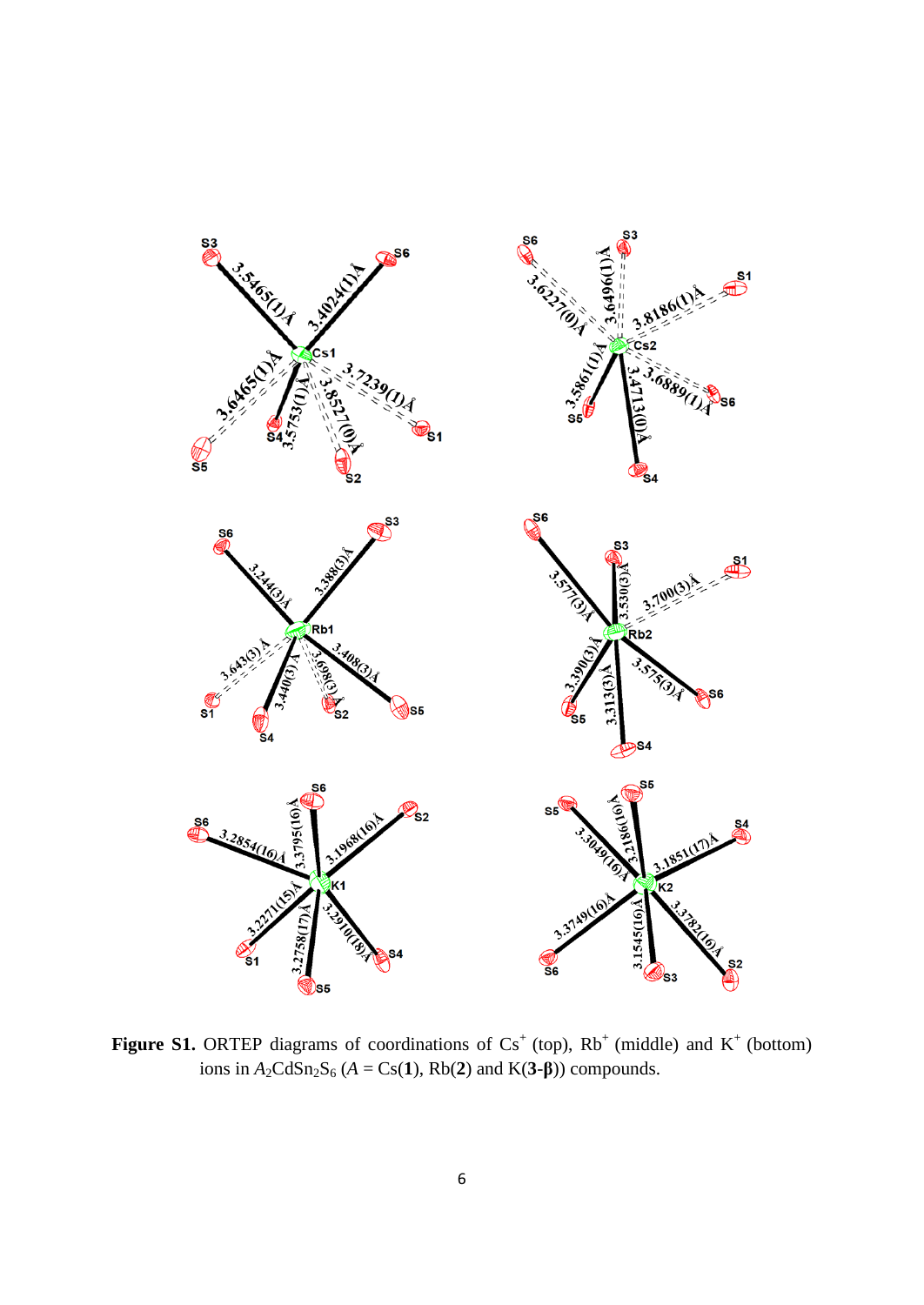

**Figure S1.** ORTEP diagrams of coordinations of  $Cs<sup>+</sup>$  (top),  $Rb<sup>+</sup>$  (middle) and  $K<sup>+</sup>$  (bottom) ions in  $A_2CdSn_2S_6$  ( $A = Cs(1)$ ,  $Rb(2)$  and  $K(3-\beta)$ ) compounds.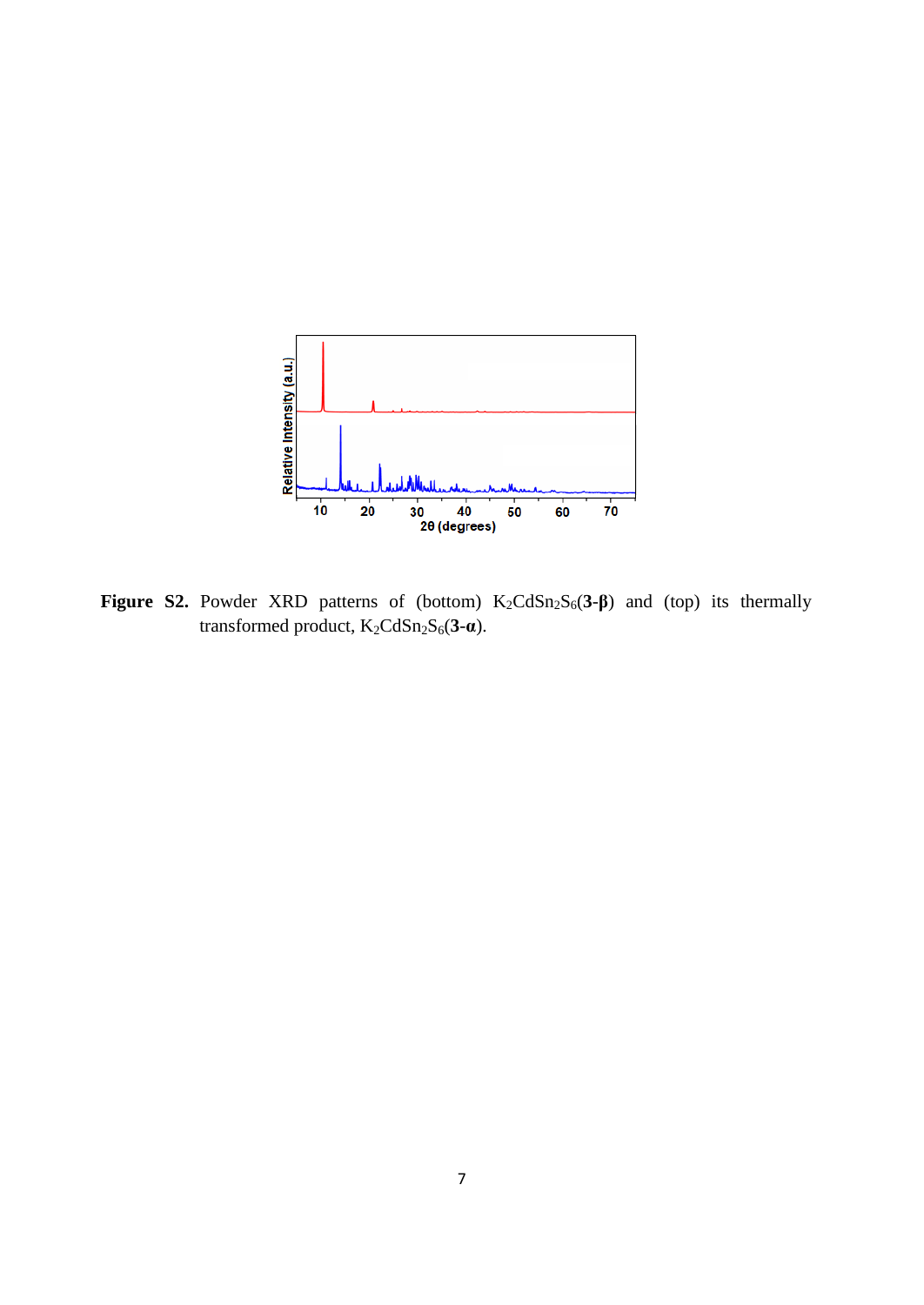

Figure S2. Powder XRD patterns of (bottom) K<sub>2</sub>CdSn<sub>2</sub>S<sub>6</sub>(3-β) and (top) its thermally transformed product, K<sub>2</sub>CdSn<sub>2</sub>S<sub>6</sub>(3-**α**).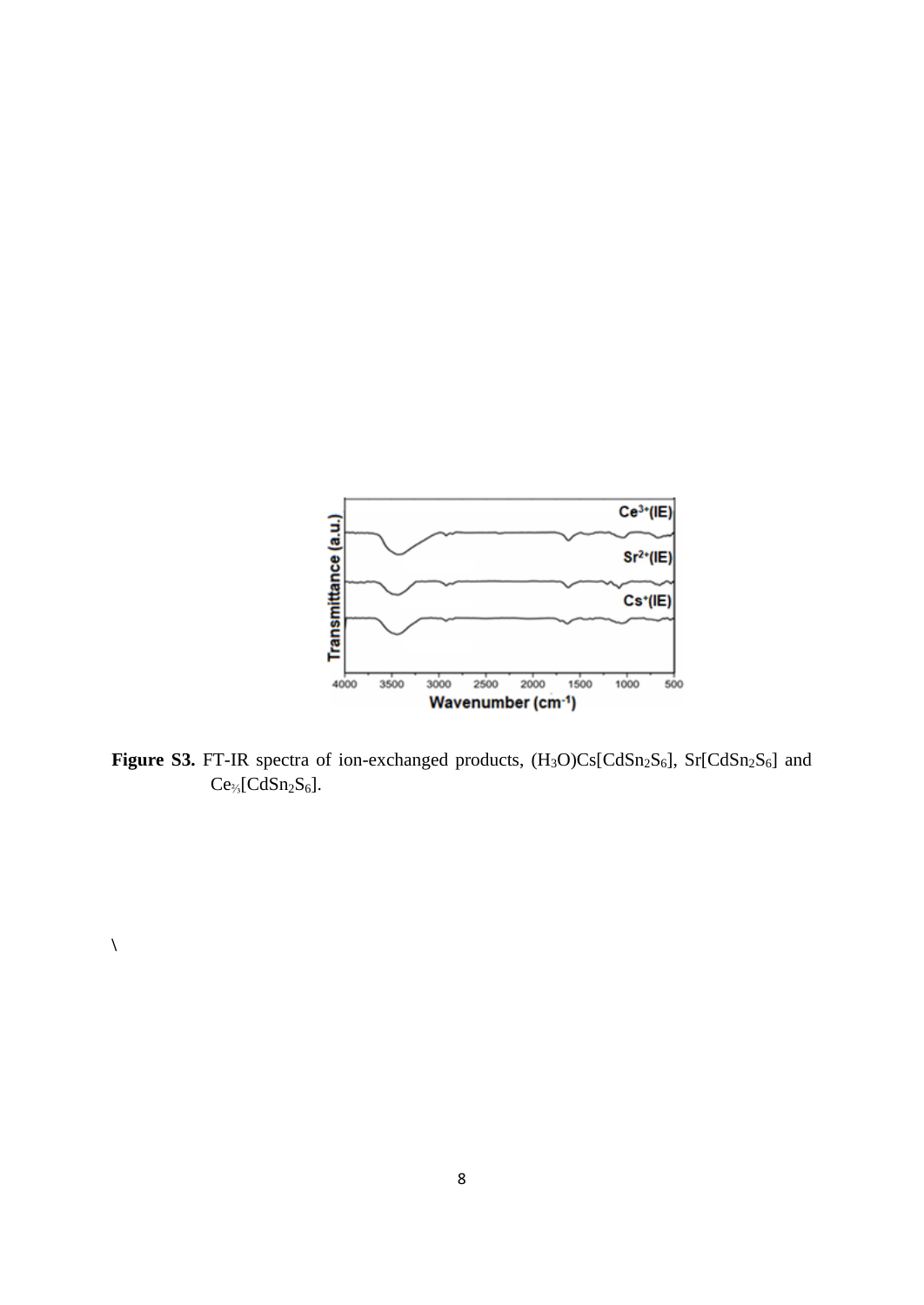

**Figure S3.** FT-IR spectra of ion-exchanged products,  $(H_3O)Cs[CdSn_2S_6]$ ,  $Sr[CdSn_2S_6]$  and  $Ce_{\frac{1}{3}}[CdSn_{2}S_{6}].$